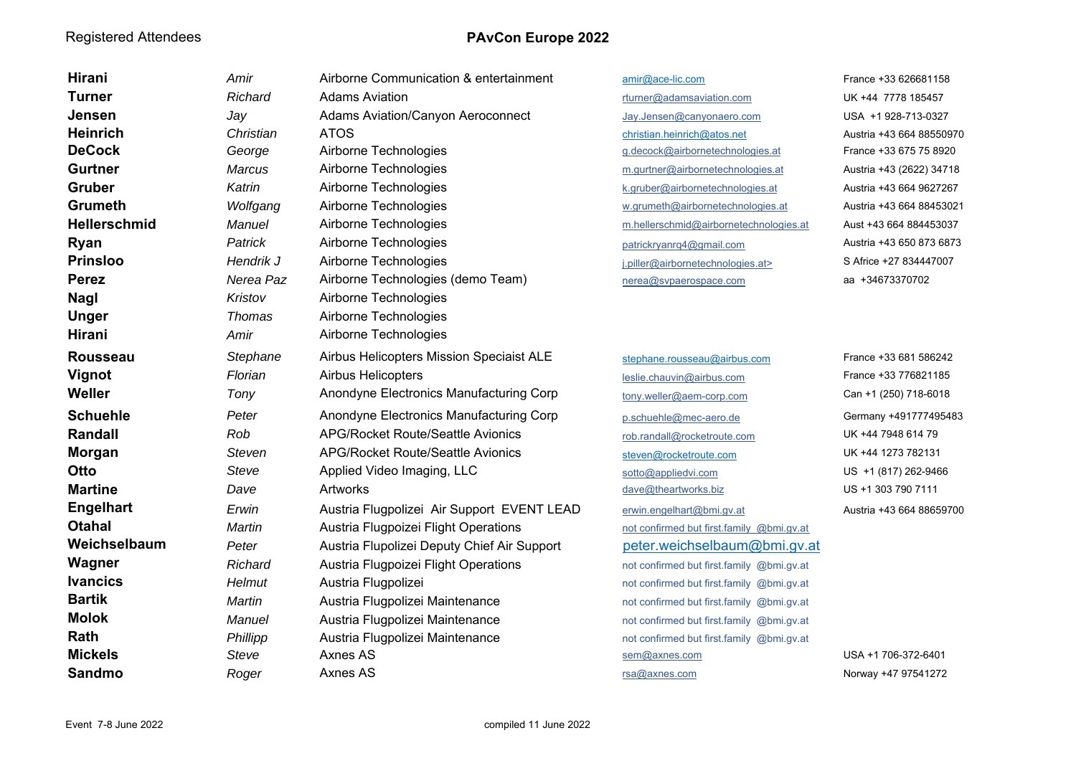| Hirani              | Amir          | Airborne Communication & entertainment      | amir@ace-lic.com                          | France +33 626681158     |
|---------------------|---------------|---------------------------------------------|-------------------------------------------|--------------------------|
| <b>Turner</b>       | Richard       | <b>Adams Aviation</b>                       | rturner@adamsaviation.com                 | UK +44 7778 185457       |
| Jensen              | Jay           | Adams Aviation/Canyon Aeroconnect           | Jay.Jensen@canyonaero.com                 | USA +1 928-713-0327      |
| <b>Heinrich</b>     | Christian     | <b>ATOS</b>                                 | christian.heinrich@atos.net               | Austria +43 664 88550970 |
| <b>DeCock</b>       | George        | Airborne Technologies                       | g.decock@airbornetechnologies.at          | France +33 675 75 8920   |
| <b>Gurtner</b>      | Marcus        | Airborne Technologies                       | m.gurtner@airbornetechnologies.at         | Austria +43 (2622) 34718 |
| <b>Gruber</b>       | Katrin        | Airborne Technologies                       | k.gruber@airbornetechnologies.at          | Austria +43 664 9627267  |
| <b>Grumeth</b>      | Wolfgang      | Airborne Technologies                       | w.grumeth@airbornetechnologies.at         | Austria +43 664 88453021 |
| <b>Hellerschmid</b> | Manuel        | Airborne Technologies                       | m.hellerschmid@airbornetechnologies.at    | Aust +43 664 884453037   |
| <b>Ryan</b>         | Patrick       | Airborne Technologies                       | patrickryanrq4@gmail.com                  | Austria +43 650 873 6873 |
| <b>Prinsloo</b>     | Hendrik J     | Airborne Technologies                       | j.piller@airbornetechnologies.at>         | S Africe +27 834447007   |
| <b>Perez</b>        | Nerea Paz     | Airborne Technologies (demo Team)           | nerea@svpaerospace.com                    | aa +34673370702          |
| <b>Nagl</b>         | Kristov       | Airborne Technologies                       |                                           |                          |
| <b>Unger</b>        | <b>Thomas</b> | Airborne Technologies                       |                                           |                          |
| Hirani              | Amir          | Airborne Technologies                       |                                           |                          |
| <b>Rousseau</b>     | Stephane      | Airbus Helicopters Mission Speciaist ALE    | stephane.rousseau@airbus.com              | France +33 681 586242    |
| Vignot              | Florian       | Airbus Helicopters                          | leslie.chauvin@airbus.com                 | France +33 776821185     |
| Weller              | Tony          | Anondyne Electronics Manufacturing Corp     | tony.weller@aem-corp.com                  | Can +1 (250) 718-6018    |
| <b>Schuehle</b>     | Peter         | Anondyne Electronics Manufacturing Corp     | p.schuehle@mec-aero.de                    | Germany +491777495483    |
| <b>Randall</b>      | Rob           | <b>APG/Rocket Route/Seattle Avionics</b>    | rob.randall@rocketroute.com               | UK +44 7948 614 79       |
| <b>Morgan</b>       | <b>Steven</b> | <b>APG/Rocket Route/Seattle Avionics</b>    | steven@rocketroute.com                    | UK +44 1273 782131       |
| Otto                | Steve         | Applied Video Imaging, LLC                  | sotto@appliedvi.com                       | US +1 (817) 262-9466     |
| <b>Martine</b>      | Dave          | Artworks                                    | dave@theartworks.biz                      | US +1 303 790 7111       |
| <b>Engelhart</b>    | Erwin         | Austria Flugpolizei Air Support EVENT LEAD  | erwin.engelhart@bmi.gv.at                 | Austria +43 664 88659700 |
| <b>Otahal</b>       | Martin        | Austria Flugpoizei Flight Operations        | not confirmed but first.family @bmi.gv.at |                          |
| Weichselbaum        | Peter         | Austria Flupolizei Deputy Chief Air Support | peter.weichselbaum@bmi.gv.at              |                          |
| Wagner              | Richard       | Austria Flugpoizei Flight Operations        | not confirmed but first.family @bmi.gv.at |                          |
| <b>Ivancics</b>     | Helmut        | Austria Flugpolizei                         | not confirmed but first.family @bmi.gv.at |                          |
| <b>Bartik</b>       | Martin        | Austria Flugpolizei Maintenance             | not confirmed but first.family @bmi.gv.at |                          |
| <b>Molok</b>        | Manuel        | Austria Flugpolizei Maintenance             | not confirmed but first.family @bmi.gv.at |                          |
| Rath                | Phillipp      | Austria Flugpolizei Maintenance             | not confirmed but first.family @bmi.gv.at |                          |
| <b>Mickels</b>      | Steve         | Axnes AS                                    | sem@axnes.com                             | USA +1 706-372-6401      |
| <b>Sandmo</b>       | Roger         | Axnes AS                                    | rsa@axnes.com                             | Norway +47 97541272      |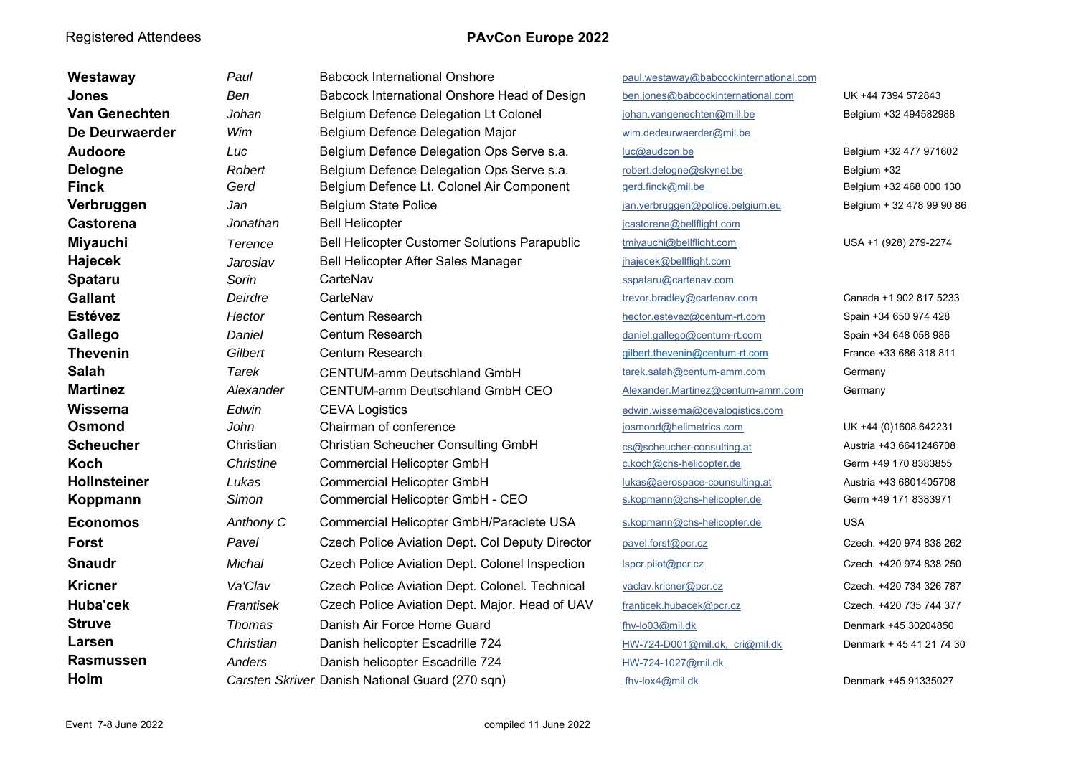| Westaway             | Paul          | <b>Babcock International Onshore</b>            | paul.westaway@babcockinternational.com |                           |
|----------------------|---------------|-------------------------------------------------|----------------------------------------|---------------------------|
| Jones                | Ben           | Babcock International Onshore Head of Design    | ben.jones@babcockinternational.com     | UK +44 7394 572843        |
| <b>Van Genechten</b> | Johan         | Belgium Defence Delegation Lt Colonel           | johan.vangenechten@mill.be             | Belgium +32 494582988     |
| De Deurwaerder       | Wim           | Belgium Defence Delegation Major                | wim.dedeurwaerder@mil.be               |                           |
| <b>Audoore</b>       | Luc           | Belgium Defence Delegation Ops Serve s.a.       | luc@audcon.be                          | Belgium +32 477 971602    |
| <b>Delogne</b>       | Robert        | Belgium Defence Delegation Ops Serve s.a.       | robert.delogne@skynet.be               | Belgium +32               |
| <b>Finck</b>         | Gerd          | Belgium Defence Lt. Colonel Air Component       | gerd.finck@mil.be                      | Belgium +32 468 000 130   |
| Verbruggen           | Jan           | <b>Belgium State Police</b>                     | jan.verbruggen@police.belgium.eu       | Belgium + 32 478 99 90 86 |
| <b>Castorena</b>     | Jonathan      | <b>Bell Helicopter</b>                          | jcastorena@bellflight.com              |                           |
| <b>Miyauchi</b>      | Terence       | Bell Helicopter Customer Solutions Parapublic   | tmiyauchi@bellflight.com               | USA +1 (928) 279-2274     |
| Hajecek              | Jaroslav      | Bell Helicopter After Sales Manager             | jhajecek@bellflight.com                |                           |
| Spataru              | Sorin         | CarteNav                                        | sspataru@cartenav.com                  |                           |
| <b>Gallant</b>       | Deirdre       | CarteNav                                        | trevor.bradley@cartenav.com            | Canada +1 902 817 5233    |
| <b>Estévez</b>       | Hector        | Centum Research                                 | hector.estevez@centum-rt.com           | Spain +34 650 974 428     |
| Gallego              | Daniel        | Centum Research                                 | daniel.gallego@centum-rt.com           | Spain +34 648 058 986     |
| <b>Thevenin</b>      | Gilbert       | Centum Research                                 | gilbert.thevenin@centum-rt.com         | France +33 686 318 811    |
| <b>Salah</b>         | Tarek         | <b>CENTUM-amm Deutschland GmbH</b>              | tarek.salah@centum-amm.com             | Germany                   |
| <b>Martinez</b>      | Alexander     | <b>CENTUM-amm Deutschland GmbH CEO</b>          | Alexander.Martinez@centum-amm.com      | Germany                   |
| Wissema              | Edwin         | <b>CEVA Logistics</b>                           | edwin.wissema@cevalogistics.com        |                           |
| <b>Osmond</b>        | John          | Chairman of conference                          | josmond@helimetrics.com                | UK +44 (0)1608 642231     |
| <b>Scheucher</b>     | Christian     | <b>Christian Scheucher Consulting GmbH</b>      | cs@scheucher-consulting.at             | Austria +43 6641246708    |
| <b>Koch</b>          | Christine     | <b>Commercial Helicopter GmbH</b>               | c.koch@chs-helicopter.de               | Germ +49 170 8383855      |
| <b>Hollnsteiner</b>  | Lukas         | <b>Commercial Helicopter GmbH</b>               | lukas@aerospace-counsulting.at         | Austria +43 6801405708    |
| Koppmann             | Simon         | Commercial Helicopter GmbH - CEO                | s.kopmann@chs-helicopter.de            | Germ +49 171 8383971      |
| <b>Economos</b>      | Anthony C     | Commercial Helicopter GmbH/Paraclete USA        | s.kopmann@chs-helicopter.de            | <b>USA</b>                |
| <b>Forst</b>         | Pavel         | Czech Police Aviation Dept. Col Deputy Director | pavel.forst@pcr.cz                     | Czech. +420 974 838 262   |
| <b>Snaudr</b>        | Michal        | Czech Police Aviation Dept. Colonel Inspection  | Ispcr.pilot@pcr.cz                     | Czech. +420 974 838 250   |
| <b>Kricner</b>       | Va'Clav       | Czech Police Aviation Dept. Colonel. Technical  | vaclav.kricner@pcr.cz                  | Czech. +420 734 326 787   |
| Huba'cek             | Frantisek     | Czech Police Aviation Dept. Major. Head of UAV  | franticek.hubacek@pcr.cz               | Czech. +420 735 744 377   |
| <b>Struve</b>        | <b>Thomas</b> | Danish Air Force Home Guard                     | fhv-lo03@mil.dk                        | Denmark +45 30204850      |
| Larsen               | Christian     | Danish helicopter Escadrille 724                | HW-724-D001@mil.dk, cri@mil.dk         | Denmark + 45 41 21 74 30  |
| <b>Rasmussen</b>     | Anders        | Danish helicopter Escadrille 724                | HW-724-1027@mil.dk                     |                           |
| Holm                 |               | Carsten Skriver Danish National Guard (270 sqn) | fhv-lox4@mil.dk                        | Denmark +45 91335027      |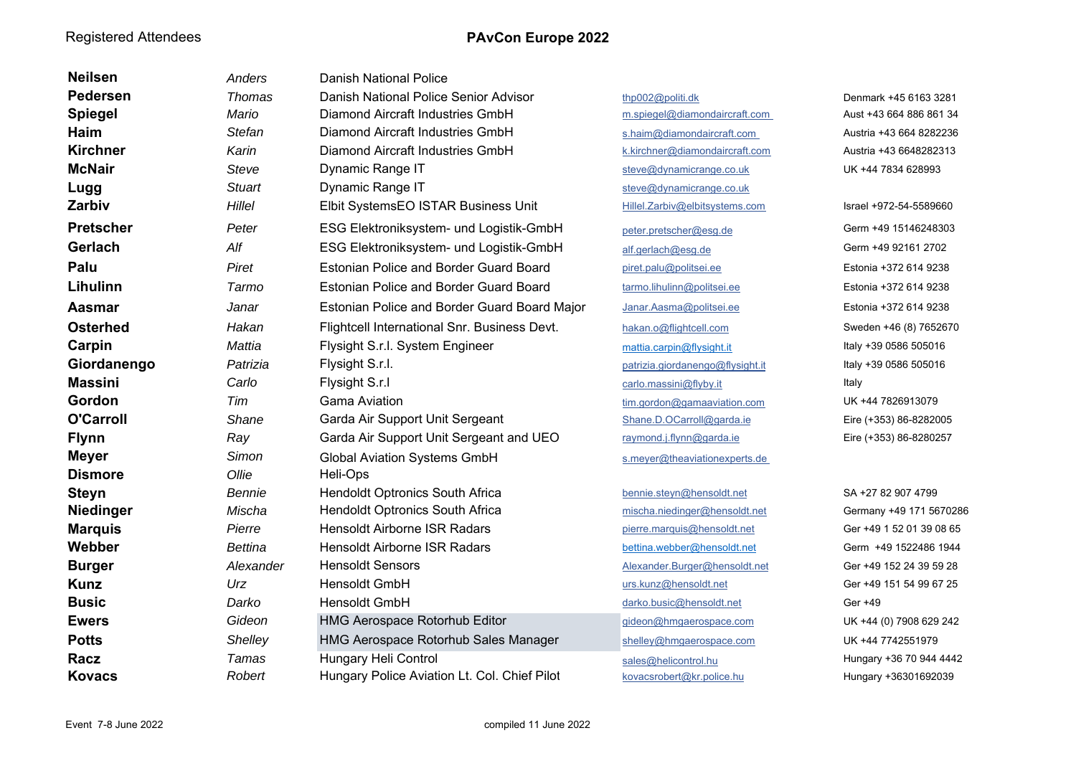| <b>Neilsen</b>   | Anders         | <b>Danish National Police</b>                |                                  |                          |
|------------------|----------------|----------------------------------------------|----------------------------------|--------------------------|
| Pedersen         | Thomas         | Danish National Police Senior Advisor        | thp002@politi.dk                 | Denmark +45 6163 3281    |
| <b>Spiegel</b>   | Mario          | Diamond Aircraft Industries GmbH             | m.spiegel@diamondaircraft.com    | Aust +43 664 886 861 34  |
| Haim             | <b>Stefan</b>  | Diamond Aircraft Industries GmbH             | s.haim@diamondaircraft.com       | Austria +43 664 8282236  |
| <b>Kirchner</b>  | Karin          | Diamond Aircraft Industries GmbH             | k.kirchner@diamondaircraft.com   | Austria +43 6648282313   |
| <b>McNair</b>    | Steve          | Dynamic Range IT                             | steve@dynamicrange.co.uk         | UK +44 7834 628993       |
| Lugg             | <b>Stuart</b>  | Dynamic Range IT                             | steve@dynamicrange.co.uk         |                          |
| Zarbiv           | Hillel         | Elbit SystemsEO ISTAR Business Unit          | Hillel.Zarbiv@elbitsystems.com   | Israel +972-54-5589660   |
| <b>Pretscher</b> | Peter          | ESG Elektroniksystem- und Logistik-GmbH      | peter.pretscher@esq.de           | Germ +49 15146248303     |
| Gerlach          | Alf            | ESG Elektroniksystem- und Logistik-GmbH      | alf.gerlach@esg.de               | Germ +49 92161 2702      |
| Palu             | Piret          | Estonian Police and Border Guard Board       | piret.palu@politsei.ee           | Estonia +372 614 9238    |
| Lihulinn         | Tarmo          | Estonian Police and Border Guard Board       | tarmo.lihulinn@politsei.ee       | Estonia +372 614 9238    |
| Aasmar           | Janar          | Estonian Police and Border Guard Board Major | Janar.Aasma@politsei.ee          | Estonia +372 614 9238    |
| <b>Osterhed</b>  | Hakan          | Flightcell International Snr. Business Devt. | hakan.o@flightcell.com           | Sweden +46 (8) 7652670   |
| Carpin           | Mattia         | Flysight S.r.l. System Engineer              | mattia.carpin@flysight.it        | Italy +39 0586 505016    |
| Giordanengo      | Patrizia       | Flysight S.r.l.                              | patrizia.giordanengo@flysight.it | Italy +39 0586 505016    |
| <b>Massini</b>   | Carlo          | Flysight S.r.I                               | carlo.massini@flyby.it           | Italy                    |
| Gordon           | Tim            | <b>Gama Aviation</b>                         | tim.gordon@gamaaviation.com      | UK +44 7826913079        |
| <b>O'Carroll</b> | Shane          | Garda Air Support Unit Sergeant              | Shane.D.OCarroll@garda.ie        | Eire (+353) 86-8282005   |
| <b>Flynn</b>     | Ray            | Garda Air Support Unit Sergeant and UEO      | raymond.j.flynn@garda.ie         | Eire (+353) 86-8280257   |
| <b>Meyer</b>     | Simon          | <b>Global Aviation Systems GmbH</b>          | s.meyer@theaviationexperts.de    |                          |
| <b>Dismore</b>   | Ollie          | Heli-Ops                                     |                                  |                          |
| <b>Steyn</b>     | Bennie         | Hendoldt Optronics South Africa              | bennie.steyn@hensoldt.net        | SA +27 82 907 4799       |
| Niedinger        | Mischa         | Hendoldt Optronics South Africa              | mischa.niedinger@hensoldt.net    | Germany +49 171 5670286  |
| <b>Marquis</b>   | Pierre         | <b>Hensoldt Airborne ISR Radars</b>          | pierre.marquis@hensoldt.net      | Ger +49 1 52 01 39 08 65 |
| Webber           | <b>Bettina</b> | <b>Hensoldt Airborne ISR Radars</b>          | bettina.webber@hensoldt.net      | Germ +49 1522486 1944    |
| <b>Burger</b>    | Alexander      | <b>Hensoldt Sensors</b>                      | Alexander.Burger@hensoldt.net    | Ger +49 152 24 39 59 28  |
| <b>Kunz</b>      | Urz            | <b>Hensoldt GmbH</b>                         | urs.kunz@hensoldt.net            | Ger +49 151 54 99 67 25  |
| <b>Busic</b>     | Darko          | Hensoldt GmbH                                | darko.busic@hensoldt.net         | Ger +49                  |
| <b>Ewers</b>     | Gideon         | HMG Aerospace Rotorhub Editor                | gideon@hmgaerospace.com          | UK +44 (0) 7908 629 242  |
| <b>Potts</b>     | Shelley        | HMG Aerospace Rotorhub Sales Manager         | shelley@hmgaerospace.com         | UK +44 7742551979        |
| Racz             | <b>Tamas</b>   | Hungary Heli Control                         | sales@helicontrol.hu             | Hungary +36 70 944 4442  |
| <b>Kovacs</b>    | Robert         | Hungary Police Aviation Lt. Col. Chief Pilot | kovacsrobert@kr.police.hu        | Hungary +36301692039     |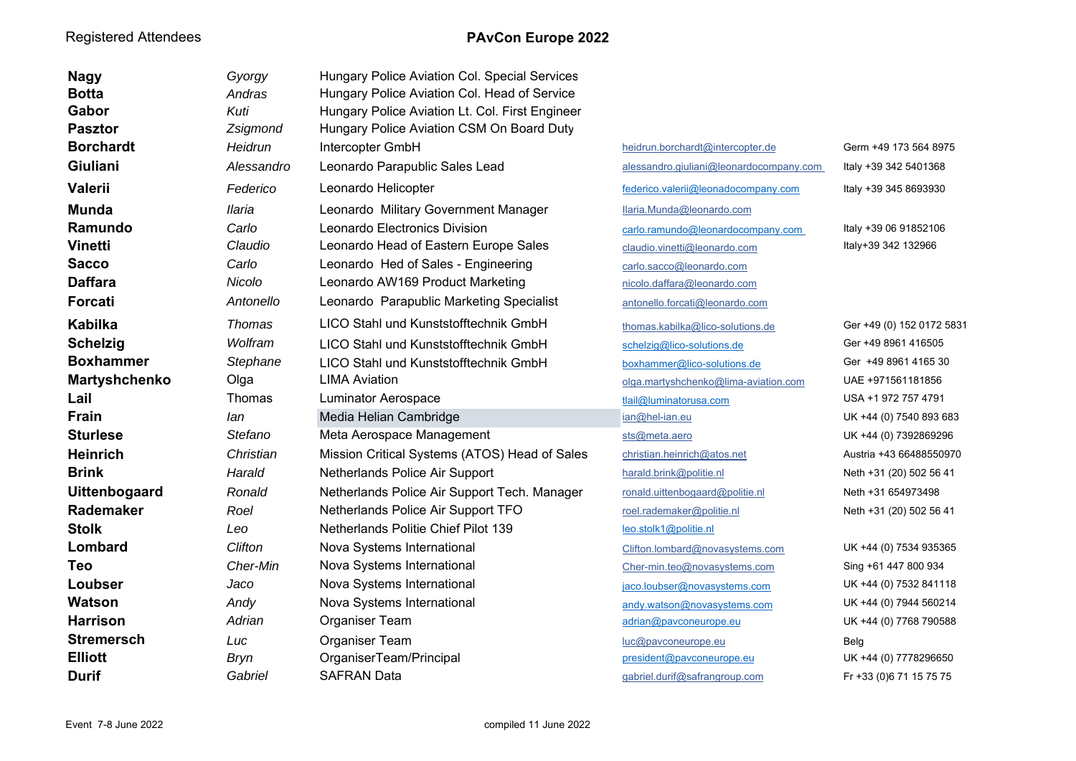| <b>Nagy</b>          | Gyorgy        | Hungary Police Aviation Col. Special Services   |                                         |                           |
|----------------------|---------------|-------------------------------------------------|-----------------------------------------|---------------------------|
| <b>Botta</b>         | Andras        | Hungary Police Aviation Col. Head of Service    |                                         |                           |
| Gabor                | Kuti          | Hungary Police Aviation Lt. Col. First Engineer |                                         |                           |
| <b>Pasztor</b>       | Zsigmond      | Hungary Police Aviation CSM On Board Duty       |                                         |                           |
| <b>Borchardt</b>     | Heidrun       | Intercopter GmbH                                | heidrun.borchardt@intercopter.de        | Germ +49 173 564 8975     |
| Giuliani             | Alessandro    | Leonardo Parapublic Sales Lead                  | alessandro.qiuliani@leonardocompany.com | Italy +39 342 5401368     |
| <b>Valerii</b>       | Federico      | Leonardo Helicopter                             | federico.valerii@leonadocompany.com     | Italy +39 345 8693930     |
| Munda                | <b>Ilaria</b> | Leonardo Military Government Manager            | llaria.Munda@leonardo.com               |                           |
| Ramundo              | Carlo         | Leonardo Electronics Division                   | carlo.ramundo@leonardocompany.com       | Italy +39 06 91852106     |
| <b>Vinetti</b>       | Claudio       | Leonardo Head of Eastern Europe Sales           | claudio.vinetti@leonardo.com            | Italy+39 342 132966       |
| <b>Sacco</b>         | Carlo         | Leonardo Hed of Sales - Engineering             | carlo.sacco@leonardo.com                |                           |
| <b>Daffara</b>       | Nicolo        | Leonardo AW169 Product Marketing                | nicolo.daffara@leonardo.com             |                           |
| <b>Forcati</b>       | Antonello     | Leonardo Parapublic Marketing Specialist        | antonello.forcati@leonardo.com          |                           |
| <b>Kabilka</b>       | Thomas        | LICO Stahl und Kunststofftechnik GmbH           | thomas.kabilka@lico-solutions.de        | Ger +49 (0) 152 0172 5831 |
| <b>Schelzig</b>      | Wolfram       | LICO Stahl und Kunststofftechnik GmbH           | schelzig@lico-solutions.de              | Ger +49 8961 416505       |
| <b>Boxhammer</b>     | Stephane      | LICO Stahl und Kunststofftechnik GmbH           | boxhammer@lico-solutions.de             | Ger +49 8961 4165 30      |
| <b>Martyshchenko</b> | Olga          | <b>LIMA Aviation</b>                            | olga.martyshchenko@lima-aviation.com    | UAE +971561181856         |
| Lail                 | <b>Thomas</b> | <b>Luminator Aerospace</b>                      | tlail@luminatorusa.com                  | USA +1 972 757 4791       |
| <b>Frain</b>         | lan           | Media Helian Cambridge                          | ian@hel-ian.eu                          | UK +44 (0) 7540 893 683   |
| <b>Sturlese</b>      | Stefano       | Meta Aerospace Management                       | sts@meta.aero                           | UK +44 (0) 7392869296     |
| <b>Heinrich</b>      | Christian     | Mission Critical Systems (ATOS) Head of Sales   | christian.heinrich@atos.net             | Austria +43 66488550970   |
| <b>Brink</b>         | Harald        | Netherlands Police Air Support                  | harald.brink@politie.nl                 | Neth +31 (20) 502 56 41   |
| <b>Uittenbogaard</b> | Ronald        | Netherlands Police Air Support Tech. Manager    | ronald.uittenbogaard@politie.nl         | Neth +31 654973498        |
| <b>Rademaker</b>     | Roel          | Netherlands Police Air Support TFO              | roel.rademaker@politie.nl               | Neth +31 (20) 502 56 41   |
| <b>Stolk</b>         | Leo           | <b>Netherlands Politie Chief Pilot 139</b>      | leo.stolk1@politie.nl                   |                           |
| Lombard              | Clifton       | Nova Systems International                      | Clifton.lombard@novasystems.com         | UK +44 (0) 7534 935365    |
| <b>Teo</b>           | Cher-Min      | Nova Systems International                      | Cher-min.teo@novasystems.com            | Sing +61 447 800 934      |
| Loubser              | Jaco          | Nova Systems International                      | jaco.loubser@novasystems.com            | UK +44 (0) 7532 841118    |
| Watson               | Andy          | Nova Systems International                      | andy.watson@novasystems.com             | UK +44 (0) 7944 560214    |
| <b>Harrison</b>      | Adrian        | Organiser Team                                  | adrian@pavconeurope.eu                  | UK +44 (0) 7768 790588    |
| <b>Stremersch</b>    | Luc           | Organiser Team                                  | luc@pavconeurope.eu                     | Belg                      |
| <b>Elliott</b>       | <b>Bryn</b>   | OrganiserTeam/Principal                         | president@pavconeurope.eu               | UK +44 (0) 7778296650     |
| <b>Durif</b>         | Gabriel       | <b>SAFRAN Data</b>                              | gabriel.durif@safrangroup.com           | Fr +33 (0)6 71 15 75 75   |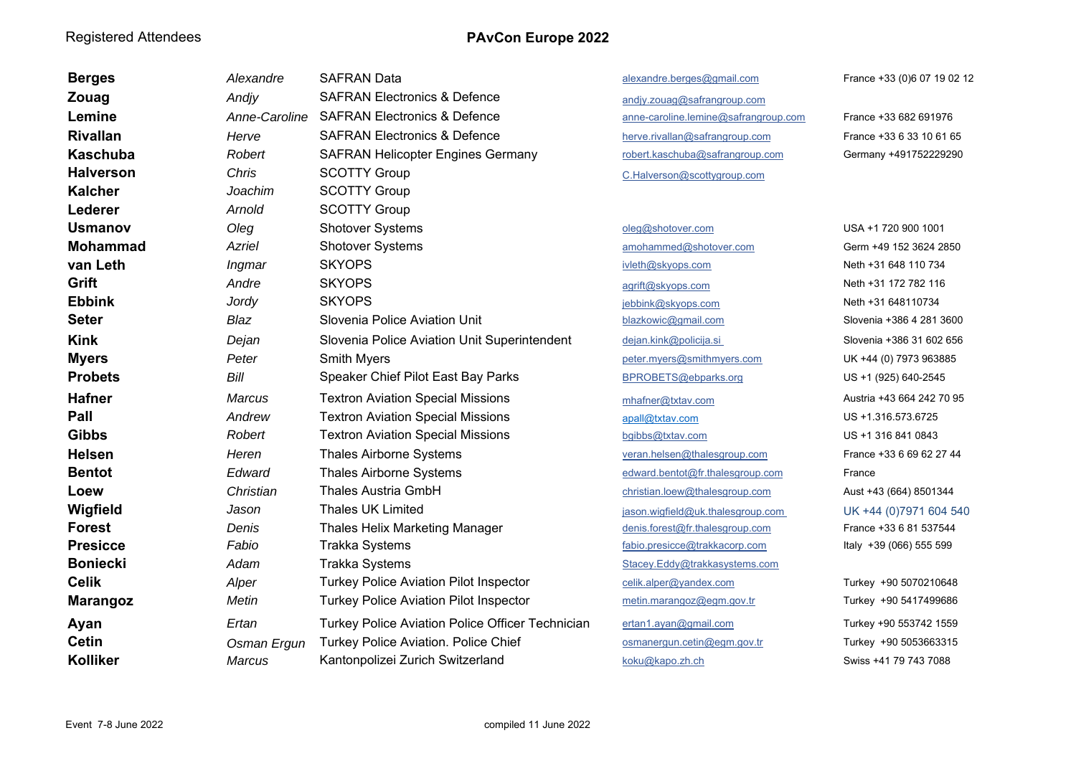| <b>Berges</b>    | Alexandre     | <b>SAFRAN Data</b>                               | alexandre.berges@gmail.com           | France +33 (0)6 07 19 02 12 |
|------------------|---------------|--------------------------------------------------|--------------------------------------|-----------------------------|
| Zouag            | Andjy         | <b>SAFRAN Electronics &amp; Defence</b>          | andjy.zouag@safrangroup.com          |                             |
| Lemine           | Anne-Caroline | <b>SAFRAN Electronics &amp; Defence</b>          | anne-caroline.lemine@safrangroup.com | France +33 682 691976       |
| <b>Rivallan</b>  | Herve         | <b>SAFRAN Electronics &amp; Defence</b>          | herve.rivallan@safrangroup.com       | France +33 6 33 10 61 65    |
| <b>Kaschuba</b>  | Robert        | <b>SAFRAN Helicopter Engines Germany</b>         | robert.kaschuba@safrangroup.com      | Germany +491752229290       |
| <b>Halverson</b> | Chris         | <b>SCOTTY Group</b>                              | C.Halverson@scottygroup.com          |                             |
| <b>Kalcher</b>   | Joachim       | <b>SCOTTY Group</b>                              |                                      |                             |
| Lederer          | Arnold        | <b>SCOTTY Group</b>                              |                                      |                             |
| <b>Usmanov</b>   | Oleg          | <b>Shotover Systems</b>                          | oleg@shotover.com                    | USA +1 720 900 1001         |
| <b>Mohammad</b>  | Azriel        | <b>Shotover Systems</b>                          | amohammed@shotover.com               | Germ +49 152 3624 2850      |
| van Leth         | Ingmar        | <b>SKYOPS</b>                                    | ivleth@skyops.com                    | Neth +31 648 110 734        |
| Grift            | Andre         | <b>SKYOPS</b>                                    | agrift@skyops.com                    | Neth +31 172 782 116        |
| <b>Ebbink</b>    | Jordy         | <b>SKYOPS</b>                                    | jebbink@skyops.com                   | Neth +31 648110734          |
| <b>Seter</b>     | Blaz          | Slovenia Police Aviation Unit                    | blazkowic@gmail.com                  | Slovenia +386 4 281 3600    |
| <b>Kink</b>      | Dejan         | Slovenia Police Aviation Unit Superintendent     | dejan.kink@policija.si               | Slovenia +386 31 602 656    |
| <b>Myers</b>     | Peter         | <b>Smith Myers</b>                               | peter.myers@smithmyers.com           | UK +44 (0) 7973 963885      |
| <b>Probets</b>   | Bill          | Speaker Chief Pilot East Bay Parks               | BPROBETS@ebparks.org                 | US +1 (925) 640-2545        |
| <b>Hafner</b>    | <b>Marcus</b> | <b>Textron Aviation Special Missions</b>         | mhafner@txtav.com                    | Austria +43 664 242 70 95   |
| Pall             | Andrew        | <b>Textron Aviation Special Missions</b>         | apall@txtav.com                      | US +1.316.573.6725          |
| <b>Gibbs</b>     | Robert        | <b>Textron Aviation Special Missions</b>         | bgibbs@txtav.com                     | US +1 316 841 0843          |
| <b>Helsen</b>    | Heren         | <b>Thales Airborne Systems</b>                   | veran.helsen@thalesgroup.com         | France +33 6 69 62 27 44    |
| <b>Bentot</b>    | Edward        | <b>Thales Airborne Systems</b>                   | edward.bentot@fr.thalesgroup.com     | France                      |
| Loew             | Christian     | <b>Thales Austria GmbH</b>                       | christian.loew@thalesgroup.com       | Aust +43 (664) 8501344      |
| Wigfield         | Jason         | <b>Thales UK Limited</b>                         | jason.wigfield@uk.thalesgroup.com    | UK +44 (0)7971 604 540      |
| <b>Forest</b>    | Denis         | <b>Thales Helix Marketing Manager</b>            | denis.forest@fr.thalesgroup.com      | France +33 6 81 537544      |
| <b>Presicce</b>  | Fabio         | <b>Trakka Systems</b>                            | fabio.presicce@trakkacorp.com        | Italy +39 (066) 555 599     |
| <b>Boniecki</b>  | Adam          | <b>Trakka Systems</b>                            | Stacey.Eddy@trakkasystems.com        |                             |
| <b>Celik</b>     | Alper         | <b>Turkey Police Aviation Pilot Inspector</b>    | celik.alper@yandex.com               | Turkey +90 5070210648       |
| <b>Marangoz</b>  | Metin         | <b>Turkey Police Aviation Pilot Inspector</b>    | metin.marangoz@egm.gov.tr            | Turkey +90 5417499686       |
| Ayan             | Ertan         | Turkey Police Aviation Police Officer Technician | ertan1.ayan@gmail.com                | Turkey +90 553742 1559      |
| <b>Cetin</b>     | Osman Ergun   | Turkey Police Aviation. Police Chief             | osmanergun.cetin@egm.gov.tr          | Turkey +90 5053663315       |
| <b>Kolliker</b>  | Marcus        | Kantonpolizei Zurich Switzerland                 | koku@kapo.zh.ch                      | Swiss +41 79 743 7088       |